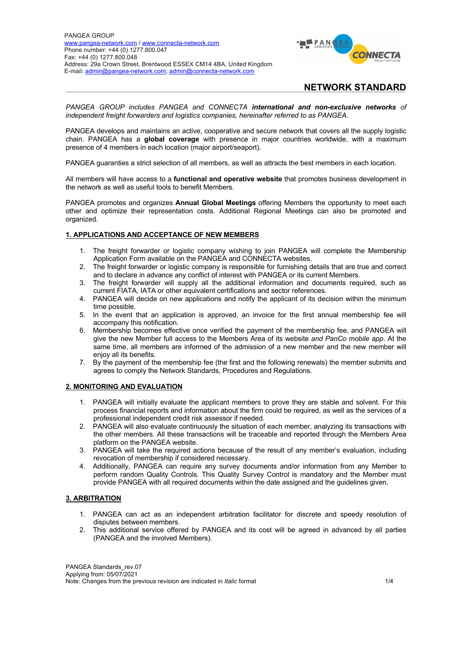

*PANGEA GROUP includes PANGEA and CONNECTA international and non-exclusive networks of independent freight forwarders and logistics companies, hereinafter referred to as PANGEA.*

PANGEA develops and maintains an active, cooperative and secure network that covers all the supply logistic chain. PANGEA has a **global coverage** with presence in major countries worldwide, with a maximum presence of 4 members in each location (major airport/seaport).

PANGEA guaranties a strict selection of all members, as well as attracts the best members in each location.

All members will have access to a **functional and operative website** that promotes business development in the network as well as useful tools to benefit Members.

PANGEA promotes and organizes **Annual Global Meetings** offering Members the opportunity to meet each other and optimize their representation costs. Additional Regional Meetings can also be promoted and organized.

### **1. APPLICATIONS AND ACCEPTANCE OF NEW MEMBERS**

- 1. The freight forwarder or logistic company wishing to join PANGEA will complete the Membership Application Form available on the PANGEA and CONNECTA websites.
- 2. The freight forwarder or logistic company is responsible for furnishing details that are true and correct and to declare in advance any conflict of interest with PANGEA or its current Members.
- 3. The freight forwarder will supply all the additional information and documents required, such as current FIATA, IATA or other equivalent certifications and sector references.
- 4. PANGEA will decide on new applications and notify the applicant of its decision within the minimum time possible.
- 5. In the event that an application is approved, an invoice for the first annual membership fee will accompany this notification.
- 6. Membership becomes effective once verified the payment of the membership fee, and PANGEA will give the new Member full access to the Members Area of its website *and PanCo mobile app*. At the same time, all members are informed of the admission of a new member and the new member will enjoy all its benefits.
- 7. By the payment of the membership fee (the first and the following renewals) the member submits and agrees to comply the Network Standards, Procedures and Regulations.

#### **2. MONITORING AND EVALUATION**

- 1. PANGEA will initially evaluate the applicant members to prove they are stable and solvent. For this process financial reports and information about the firm could be required, as well as the services of a professional independent credit risk assessor if needed.
- 2. PANGEA will also evaluate continuously the situation of each member, analyzing its transactions with the other members. All these transactions will be traceable and reported through the Members Area platform on the PANGEA website.
- 3. PANGEA will take the required actions because of the result of any member's evaluation, including revocation of membership if considered necessary.
- 4. Additionally, PANGEA can require any survey documents and/or information from any Member to perform random Quality Controls. This Quality Survey Control is mandatory and the Member must provide PANGEA with all required documents within the date assigned and the guidelines given.

### **3. ARBITRATION**

- 1. PANGEA can act as an independent arbitration facilitator for discrete and speedy resolution of disputes between members.
- 2. This additional service offered by PANGEA and its cost will be agreed in advanced by all parties (PANGEA and the involved Members).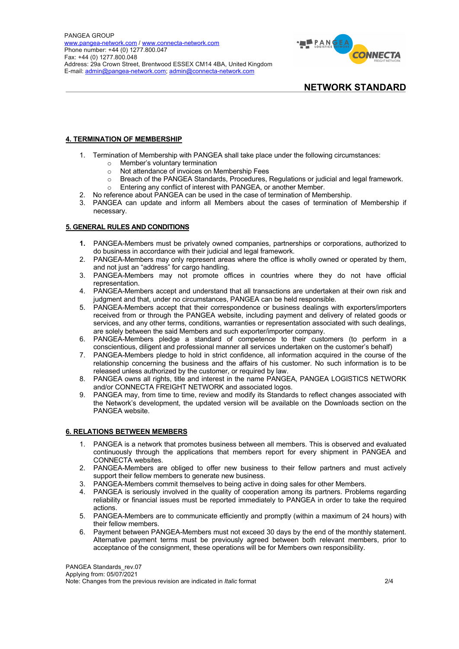

### **4. TERMINATION OF MEMBERSHIP**

- 1. Termination of Membership with PANGEA shall take place under the following circumstances:
	- o Member's voluntary termination
	- o Not attendance of invoices on Membership Fees
	- o Breach of the PANGEA Standards, Procedures, Regulations or judicial and legal framework.
	- o Entering any conflict of interest with PANGEA, or another Member.
- 2. No reference about PANGEA can be used in the case of termination of Membership.
- 3. PANGEA can update and inform all Members about the cases of termination of Membership if necessary.

#### **5. GENERAL RULES AND CONDITIONS**

- **1.** PANGEA-Members must be privately owned companies, partnerships or corporations, authorized to do business in accordance with their judicial and legal framework.
- 2. PANGEA-Members may only represent areas where the office is wholly owned or operated by them, and not just an "address" for cargo handling.
- 3. PANGEA-Members may not promote offices in countries where they do not have official representation.
- 4. PANGEA-Members accept and understand that all transactions are undertaken at their own risk and judgment and that, under no circumstances, PANGEA can be held responsible.
- 5. PANGEA-Members accept that their correspondence or business dealings with exporters/importers received from or through the PANGEA website, including payment and delivery of related goods or services, and any other terms, conditions, warranties or representation associated with such dealings, are solely between the said Members and such exporter/importer company.
- 6. PANGEA-Members pledge a standard of competence to their customers (to perform in a conscientious, diligent and professional manner all services undertaken on the customer's behalf)
- 7. PANGEA-Members pledge to hold in strict confidence, all information acquired in the course of the relationship concerning the business and the affairs of his customer. No such information is to be released unless authorized by the customer, or required by law.
- 8. PANGEA owns all rights, title and interest in the name PANGEA, PANGEA LOGISTICS NETWORK and/or CONNECTA FREIGHT NETWORK and associated logos.
- 9. PANGEA may, from time to time, review and modify its Standards to reflect changes associated with the Network's development, the updated version will be available on the Downloads section on the PANGEA website.

#### **6. RELATIONS BETWEEN MEMBERS**

- 1. PANGEA is a network that promotes business between all members. This is observed and evaluated continuously through the applications that members report for every shipment in PANGEA and CONNECTA websites.
- 2. PANGEA-Members are obliged to offer new business to their fellow partners and must actively support their fellow members to generate new business.
- 3. PANGEA-Members commit themselves to being active in doing sales for other Members.
- 4. PANGEA is seriously involved in the quality of cooperation among its partners. Problems regarding reliability or financial issues must be reported immediately to PANGEA in order to take the required actions.
- 5. PANGEA-Members are to communicate efficiently and promptly (within a maximum of 24 hours) with their fellow members.
- 6. Payment between PANGEA-Members must not exceed 30 days by the end of the monthly statement. Alternative payment terms must be previously agreed between both relevant members, prior to acceptance of the consignment, these operations will be for Members own responsibility.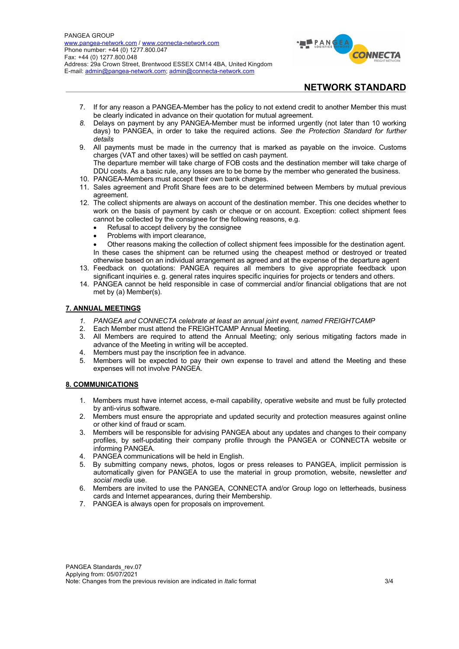

- 7. If for any reason a PANGEA-Member has the policy to not extend credit to another Member this must be clearly indicated in advance on their quotation for mutual agreement.
- *8.* Delays on payment by any PANGEA-Member must be informed urgently (not later than 10 working days) to PANGEA, in order to take the required actions. *See the Protection Standard for further details*
- 9. All payments must be made in the currency that is marked as payable on the invoice. Customs charges (VAT and other taxes) will be settled on cash payment. The departure member will take charge of FOB costs and the destination member will take charge of DDU costs. As a basic rule, any losses are to be borne by the member who generated the business.
- 10. PANGEA-Members must accept their own bank charges.
- 11. Sales agreement and Profit Share fees are to be determined between Members by mutual previous agreement.
- 12. The collect shipments are always on account of the destination member. This one decides whether to work on the basis of payment by cash or cheque or on account. Exception: collect shipment fees cannot be collected by the consignee for the following reasons, e.g.
	- Refusal to accept delivery by the consignee
	- Problems with import clearance,
	- Other reasons making the collection of collect shipment fees impossible for the destination agent. In these cases the shipment can be returned using the cheapest method or destroyed or treated
- otherwise based on an individual arrangement as agreed and at the expense of the departure agent 13. Feedback on quotations: PANGEA requires all members to give appropriate feedback upon
- significant inquiries e. g. general rates inquires specific inquiries for projects or tenders and others. 14. PANGEA cannot be held responsible in case of commercial and/or financial obligations that are not met by (a) Member(s).

#### **7. ANNUAL MEETINGS**

- *1. PANGEA and CONNECTA celebrate at least an annual joint event, named FREIGHTCAMP*
- 2. Each Member must attend the FREIGHTCAMP Annual Meeting.
- 3. All Members are required to attend the Annual Meeting; only serious mitigating factors made in advance of the Meeting in writing will be accepted.
- 4. Members must pay the inscription fee in advance.
- 5. Members will be expected to pay their own expense to travel and attend the Meeting and these expenses will not involve PANGEA.

#### **8. COMMUNICATIONS**

- 1. Members must have internet access, e-mail capability, operative website and must be fully protected by anti-virus software.
- 2. Members must ensure the appropriate and updated security and protection measures against online or other kind of fraud or scam.
- 3. Members will be responsible for advising PANGEA about any updates and changes to their company profiles, by self-updating their company profile through the PANGEA or CONNECTA website or informing PANGEA.
- 4. PANGEA communications will be held in English.
- 5. By submitting company news, photos, logos or press releases to PANGEA, implicit permission is automatically given for PANGEA to use the material in group promotion, website, newsletter *and social media* use.
- 6. Members are invited to use the PANGEA, CONNECTA and/or Group logo on letterheads, business cards and Internet appearances, during their Membership.
- 7. PANGEA is always open for proposals on improvement.